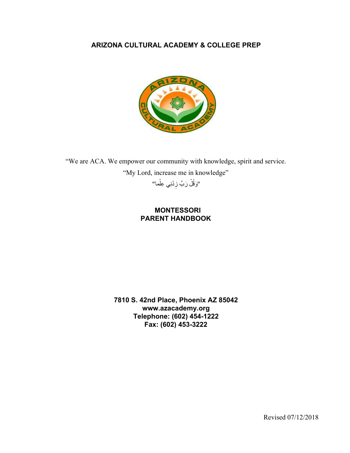## **ARIZONA CULTURAL ACADEMY & COLLEGE PREP**



"We are ACA. We empower our community with knowledge, spirit and service. "My Lord, increase me in knowledge" "وَقُلْ رَبٍّ زِدْنِي عِلْما"

> **MONTESSORI PARENT HANDBOOK**

**7810 S. 42nd Place, Phoenix AZ 85042 www.azacademy.org Telephone: (602) 454-1222 Fax: (602) 453-3222**

Revised 07/12/2018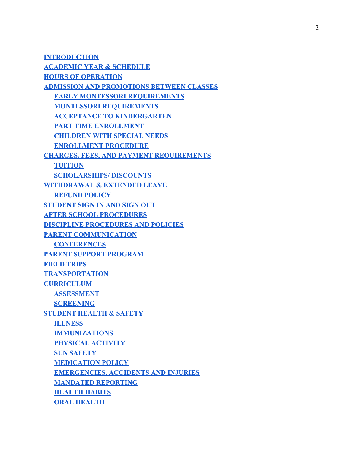**[INTRODUCTION](#page-3-0) [ACADEMIC YEAR & SCHEDULE](#page-3-1) [HOURS OF OPERATION](#page-3-2) [ADMISSION AND PROMOTIONS BETWEEN CLASSES](#page-4-0) [EARLY MONTESSORI REQUIREMENTS](#page-4-1) [MONTESSORI REQUIREMENTS](#page-4-2) [ACCEPTANCE TO KINDERGARTEN](#page-4-3) [PART TIME ENROLLMENT](#page-4-4) [CHILDREN WITH SPECIAL NEEDS](#page-5-0) [ENROLLMENT PROCEDURE](#page-5-1) [CHARGES, FEES, AND PAYMENT REQUIREMENTS](#page-5-2) [TUITION](#page-5-3) [SCHOLARSHIPS/ DISCOUNTS](#page-5-4) [WITHDRAWAL & EXTENDED LEAVE](#page-5-5) [REFUND POLICY](#page-6-0) [STUDENT SIGN IN AND SIGN OUT](#page-6-1) [AFTER SCHOOL PROCEDURES](#page-6-2) [DISCIPLINE PROCEDURES AND POLICIES](#page-7-0) [PARENT COMMUNICATION](#page-7-1) [CONFERENCES](#page-8-0) [PARENT SUPPORT PROGRAM](#page-8-1) [FIELD TRIPS](#page-8-2) [TRANSPORTATION](#page-9-0) [CURRICULUM](#page-9-1) [ASSESSMENT](#page-9-2) [SCREENING](#page-9-3) [STUDENT HEALTH & SAFETY](#page-10-0) [ILLNESS](#page-10-1) [IMMUNIZATIONS](#page-10-2) [PHYSICAL ACTIVITY](#page-10-3) [SUN SAFETY](#page-11-0) [MEDICATION POLICY](#page-11-1) [EMERGENCIES, ACCIDENTS AND INJURIES](#page-11-2) [MANDATED REPORTING](#page-12-0) [HEALTH HABITS](#page-12-1) [ORAL HEALTH](#page-12-2)**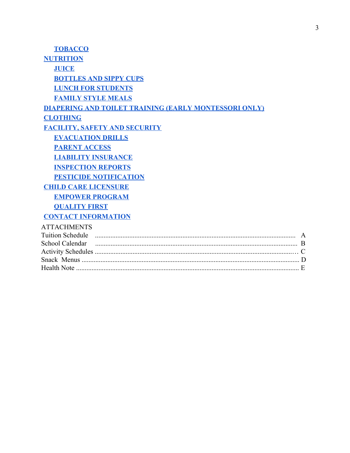| <b>TOBACCO</b>                                               |   |
|--------------------------------------------------------------|---|
| <b>NUTRITION</b>                                             |   |
| <b>JUICE</b>                                                 |   |
| <b>BOTTLES AND SIPPY CUPS</b>                                |   |
| <b>LUNCH FOR STUDENTS</b>                                    |   |
| <b>FAMILY STYLE MEALS</b>                                    |   |
| <b>DIAPERING AND TOILET TRAINING (EARLY MONTESSORI ONLY)</b> |   |
| <b>CLOTHING</b>                                              |   |
| <b>FACILITY, SAFETY AND SECURITY</b>                         |   |
| <b>EVACUATION DRILLS</b>                                     |   |
| <b>PARENT ACCESS</b>                                         |   |
| <b>LIABILITY INSURANCE</b>                                   |   |
| <b>INSPECTION REPORTS</b>                                    |   |
| <b>PESTICIDE NOTIFICATION</b>                                |   |
| <b>CHILD CARE LICENSURE</b>                                  |   |
| <b>EMPOWER PROGRAM</b>                                       |   |
| <b>QUALITY FIRST</b>                                         |   |
| <b>CONTACT INFORMATION</b>                                   |   |
| <b>ATTACHMENTS</b>                                           |   |
|                                                              | A |
|                                                              |   |
|                                                              |   |
|                                                              |   |
|                                                              |   |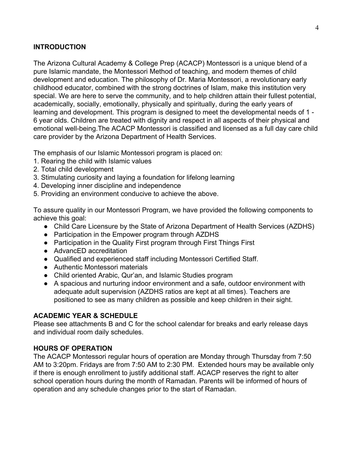### <span id="page-3-0"></span>**INTRODUCTION**

The Arizona Cultural Academy & College Prep (ACACP) Montessori is a unique blend of a pure Islamic mandate, the Montessori Method of teaching, and modern themes of child development and education. The philosophy of Dr. Maria Montessori, a revolutionary early childhood educator, combined with the strong doctrines of Islam, make this institution very special. We are here to serve the community, and to help children attain their fullest potential, academically, socially, emotionally, physically and spiritually, during the early years of learning and development. This program is designed to meet the developmental needs of 1 - 6 year olds. Children are treated with dignity and respect in all aspects of their physical and emotional well-being.The ACACP Montessori is classified and licensed as a full day care child care provider by the Arizona Department of Health Services.

The emphasis of our Islamic Montessori program is placed on:

- 1. Rearing the child with Islamic values
- 2. Total child development
- 3. Stimulating curiosity and laying a foundation for lifelong learning
- 4. Developing inner discipline and independence
- 5. Providing an environment conducive to achieve the above.

To assure quality in our Montessori Program, we have provided the following components to achieve this goal:

- Child Care Licensure by the State of Arizona Department of Health Services (AZDHS)
- Participation in the Empower program through AZDHS
- Participation in the Quality First program through First Things First
- AdvancED accreditation
- Qualified and experienced staff including Montessori Certified Staff.
- Authentic Montessori materials
- Child oriented Arabic, Qur'an, and Islamic Studies program
- A spacious and nurturing indoor environment and a safe, outdoor environment with adequate adult supervision (AZDHS ratios are kept at all times). Teachers are positioned to see as many children as possible and keep children in their sight.

#### <span id="page-3-1"></span>**ACADEMIC YEAR & SCHEDULE**

Please see attachments B and C for the school calendar for breaks and early release days and individual room daily schedules.

#### <span id="page-3-2"></span>**HOURS OF OPERATION**

The ACACP Montessori regular hours of operation are Monday through Thursday from 7:50 AM to 3:20pm. Fridays are from 7:50 AM to 2:30 PM. Extended hours may be available only if there is enough enrollment to justify additional staff. ACACP reserves the right to alter school operation hours during the month of Ramadan. Parents will be informed of hours of operation and any schedule changes prior to the start of Ramadan.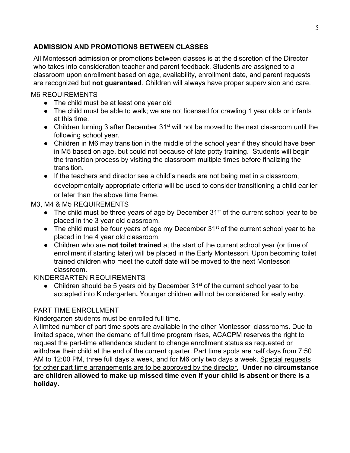## <span id="page-4-0"></span>**ADMISSION AND PROMOTIONS BETWEEN CLASSES**

All Montessori admission or promotions between classes is at the discretion of the Director who takes into consideration teacher and parent feedback. Students are assigned to a classroom upon enrollment based on age, availability, enrollment date, and parent requests are recognized but **not guaranteed**. Children will always have proper supervision and care.

## <span id="page-4-1"></span>M6 REQUIREMENTS

- The child must be at least one year old
- The child must be able to walk; we are not licensed for crawling 1 year olds or infants at this time.
- Children turning 3 after December 31<sup>st</sup> will not be moved to the next classroom until the following school year.
- Children in M6 may transition in the middle of the school year if they should have been in M5 based on age, but could not because of late potty training. Students will begin the transition process by visiting the classroom multiple times before finalizing the transition.
- If the teachers and director see a child's needs are not being met in a classroom, developmentally appropriate criteria will be used to consider transitioning a child earlier or later than the above time frame.

## <span id="page-4-2"></span>M3, M4 & M5 REQUIREMENTS

- $\bullet$  The child must be three years of age by December 31 $^{\text{st}}$  of the current school year to be placed in the 3 year old classroom.
- The child must be four years of age my December 31<sup>st</sup> of the current school year to be placed in the 4 year old classroom.
- Children who are **not toilet trained** at the start of the current school year (or time of enrollment if starting later) will be placed in the Early Montessori. Upon becoming toilet trained children who meet the cutoff date will be moved to the next Montessori classroom.

# <span id="page-4-3"></span>KINDERGARTEN REQUIREMENTS

• Children should be 5 years old by December  $31^{st}$  of the current school year to be accepted into Kindergarten**.** Younger children will not be considered for early entry.

## <span id="page-4-4"></span>PART TIME ENROLLMENT

Kindergarten students must be enrolled full time.

A limited number of part time spots are available in the other Montessori classrooms. Due to limited space, when the demand of full time program rises, ACACPM reserves the right to request the part-time attendance student to change enrollment status as requested or withdraw their child at the end of the current quarter. Part time spots are half days from 7:50 AM to 12:00 PM, three full days a week, and for M6 only two days a week. Special requests for other part time arrangements are to be approved by the director. **Under no circumstance are children allowed to make up missed time even if your child is absent or there is a holiday.**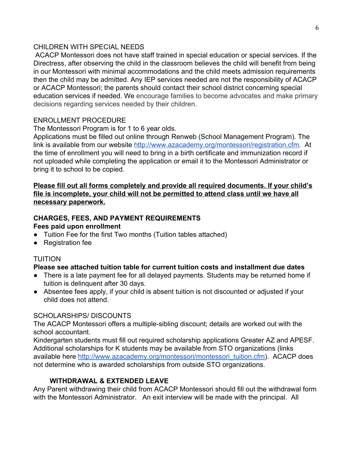### <span id="page-5-0"></span>CHILDREN WITH SPECIAL NEEDS

 ACACP Montessori does not have staff trained in special education or special services. If the Directress, after observing the child in the classroom believes the child will benefit from being in our Montessori with minimal accommodations and the child meets admission requirements then the child may be admitted. Any IEP services needed are not the responsibility of ACACP or ACACP Montessori; the parents should contact their school district concerning special education services if needed. We encourage families to become advocates and make primary decisions regarding services needed by their children.

## <span id="page-5-1"></span>ENROLLMENT PROCEDURE

The Montessori Program is for 1 to 6 year olds.

Applications must be filled out online through Renweb (School Management Program). The link is available from our website [http://www.azacademy.org/montessori/registration.cfm.](http://www.azacademy.org/montessori/registration.cfm) At the time of enrollment you will need to bring in a birth certificate and immunization record if not uploaded while completing the application or email it to the Montessori Administrator or bring it to school to be copied.

### **Please fill out all forms completely and provide all required documents. If your child's file is incomplete, your child will not be permitted to attend class until we have all necessary paperwork.**

#### <span id="page-5-2"></span>**CHARGES, FEES, AND PAYMENT REQUIREMENTS Fees paid upon enrollment**

- Tuition Fee for the first Two months (Tuition tables attached)
- Registration fee

# <span id="page-5-3"></span>TUITION

# **Please see attached tuition table for current tuition costs and installment due dates**

- There is a late payment fee for all delayed payments. Students may be returned home if tuition is delinquent after 30 days.
- Absentee fees apply, if your child is absent tuition is not discounted or adjusted if your child does not attend.

## <span id="page-5-4"></span>SCHOLARSHIPS/ DISCOUNTS

The ACACP Montessori offers a multiple-sibling discount; details are worked out with the school accountant.

Kindergarten students must fill out required scholarship applications Greater AZ and APESF. Additional scholarships for K students may be available from STO organizations (links available here [http://www.azacademy.org/montessori/montessori\\_tuition.cfm\)](http://www.azacademy.org/montessori/montessori_tuition.cfm). ACACP does not determine who is awarded scholarships from outside STO organizations.

# **WITHDRAWAL & EXTENDED LEAVE**

<span id="page-5-5"></span>Any Parent withdrawing their child from ACACP Montessori should fill out the withdrawal form with the Montessori Administrator. An exit interview will be made with the principal. All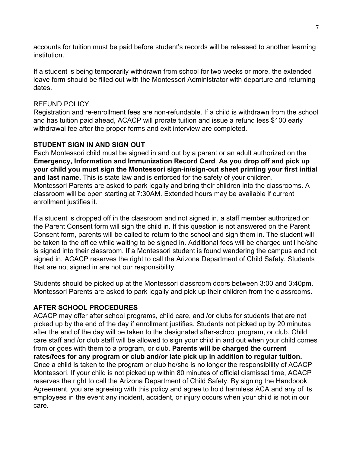accounts for tuition must be paid before student's records will be released to another learning institution.

If a student is being temporarily withdrawn from school for two weeks or more, the extended leave form should be filled out with the Montessori Administrator with departure and returning dates.

#### <span id="page-6-0"></span>REFUND POLICY

Registration and re-enrollment fees are non-refundable. If a child is withdrawn from the school and has tuition paid ahead, ACACP will prorate tuition and issue a refund less \$100 early withdrawal fee after the proper forms and exit interview are completed.

#### <span id="page-6-1"></span>**STUDENT SIGN IN AND SIGN OUT**

Each Montessori child must be signed in and out by a parent or an adult authorized on the **Emergency, Information and Immunization Record Card**. **As you drop off and pick up your child you must sign the Montessori sign-in/sign-out sheet printing your first initial and last name.** This is state law and is enforced for the safety of your children. Montessori Parents are asked to park legally and bring their children into the classrooms. A classroom will be open starting at 7:30AM. Extended hours may be available if current enrollment justifies it.

If a student is dropped off in the classroom and not signed in, a staff member authorized on the Parent Consent form will sign the child in. If this question is not answered on the Parent Consent form, parents will be called to return to the school and sign them in. The student will be taken to the office while waiting to be signed in. Additional fees will be charged until he/she is signed into their classroom. If a Montessori student is found wandering the campus and not signed in, ACACP reserves the right to call the Arizona Department of Child Safety. Students that are not signed in are not our responsibility.

Students should be picked up at the Montessori classroom doors between 3:00 and 3:40pm. Montessori Parents are asked to park legally and pick up their children from the classrooms.

## <span id="page-6-2"></span>**AFTER SCHOOL PROCEDURES**

ACACP may offer after school programs, child care, and /or clubs for students that are not picked up by the end of the day if enrollment justifies. Students not picked up by 20 minutes after the end of the day will be taken to the designated after-school program, or club. Child care staff and /or club staff will be allowed to sign your child in and out when your child comes from or goes with them to a program, or club. **Parents will be charged the current rates/fees for any program or club and/or late pick up in addition to regular tuition.** Once a child is taken to the program or club he/she is no longer the responsibility of ACACP Montessori. If your child is not picked up within 80 minutes of official dismissal time, ACACP reserves the right to call the Arizona Department of Child Safety. By signing the Handbook Agreement, you are agreeing with this policy and agree to hold harmless ACA and any of its employees in the event any incident, accident, or injury occurs when your child is not in our care.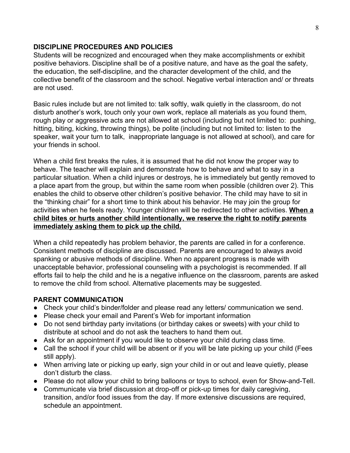#### <span id="page-7-0"></span>**DISCIPLINE PROCEDURES AND POLICIES**

Students will be recognized and encouraged when they make accomplishments or exhibit positive behaviors. Discipline shall be of a positive nature, and have as the goal the safety, the education, the self-discipline, and the character development of the child, and the collective benefit of the classroom and the school. Negative verbal interaction and/ or threats are not used.

Basic rules include but are not limited to: talk softly, walk quietly in the classroom, do not disturb another's work, touch only your own work, replace all materials as you found them, rough play or aggressive acts are not allowed at school (including but not limited to: pushing, hitting, biting, kicking, throwing things), be polite (including but not limited to: listen to the speaker, wait your turn to talk, inappropriate language is not allowed at school), and care for your friends in school.

When a child first breaks the rules, it is assumed that he did not know the proper way to behave. The teacher will explain and demonstrate how to behave and what to say in a particular situation. When a child injures or destroys, he is immediately but gently removed to a place apart from the group, but within the same room when possible (children over 2). This enables the child to observe other children's positive behavior. The child may have to sit in the "thinking chair" for a short time to think about his behavior. He may join the group for activities when he feels ready. Younger children will be redirected to other activities. **When a child bites or hurts another child intentionally, we reserve the right to notify parents immediately asking them to pick up the child.**

When a child repeatedly has problem behavior, the parents are called in for a conference. Consistent methods of discipline are discussed. Parents are encouraged to always avoid spanking or abusive methods of discipline. When no apparent progress is made with unacceptable behavior, professional counseling with a psychologist is recommended. If all efforts fail to help the child and he is a negative influence on the classroom, parents are asked to remove the child from school. Alternative placements may be suggested.

# <span id="page-7-1"></span>**PARENT COMMUNICATION**

- Check your child's binder/folder and please read any letters/ communication we send.
- Please check your email and Parent's Web for important information
- Do not send birthday party invitations (or birthday cakes or sweets) with your child to distribute at school and do not ask the teachers to hand them out.
- Ask for an appointment if you would like to observe your child during class time.
- Call the school if your child will be absent or if you will be late picking up your child (Fees still apply).
- When arriving late or picking up early, sign your child in or out and leave quietly, please don't disturb the class.
- Please do not allow your child to bring balloons or toys to school, even for Show-and-Tell.
- Communicate via brief discussion at drop-off or pick-up times for daily caregiving, transition, and/or food issues from the day. If more extensive discussions are required, schedule an appointment.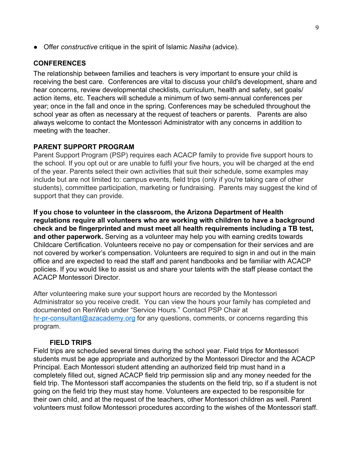<span id="page-8-0"></span>*●* Offer *constructive* critique in the spirit of Islamic *Nasiha* (advice).

#### **CONFERENCES**

The relationship between families and teachers is very important to ensure your child is receiving the best care. Conferences are vital to discuss your child's development, share and hear concerns, review developmental checklists, curriculum, health and safety, set goals/ action items, etc. Teachers will schedule a minimum of two semi-annual conferences per year; once in the fall and once in the spring. Conferences may be scheduled throughout the school year as often as necessary at the request of teachers or parents. Parents are also always welcome to contact the Montessori Administrator with any concerns in addition to meeting with the teacher.

#### <span id="page-8-1"></span>**PARENT SUPPORT PROGRAM**

Parent Support Program (PSP) requires each ACACP family to provide five support hours to the school. If you opt out or are unable to fulfil your five hours, you will be charged at the end of the year. Parents select their own activities that suit their schedule, some examples may include but are not limited to: campus events, field trips (only if you're taking care of other students), committee participation, marketing or fundraising. Parents may suggest the kind of support that they can provide.

**If you chose to volunteer in the classroom, the Arizona Department of Health regulations require all volunteers who are working with children to have a background check and be fingerprinted and must meet all health requirements including a TB test, and other paperwork.** Serving as a volunteer may help you with earning credits towards Childcare Certification. Volunteers receive no pay or compensation for their services and are not covered by worker's compensation. Volunteers are required to sign in and out in the main office and are expected to read the staff and parent handbooks and be familiar with ACACP policies. If you would like to assist us and share your talents with the staff please contact the ACACP Montessori Director.

After volunteering make sure your support hours are recorded by the Montessori Administrator so you receive credit. You can view the hours your family has completed and documented on RenWeb under "Service Hours." Contact PSP Chair at [hr-pr-consultant@azacademy.org](mailto:hr-pr-consultant@azacademy.org) for any questions, comments, or concerns regarding this program.

#### **FIELD TRIPS**

<span id="page-8-2"></span>Field trips are scheduled several times during the school year. Field trips for Montessori students must be age appropriate and authorized by the Montessori Director and the ACACP Principal. Each Montessori student attending an authorized field trip must hand in a completely filled out, signed ACACP field trip permission slip and any money needed for the field trip. The Montessori staff accompanies the students on the field trip, so if a student is not going on the field trip they must stay home. Volunteers are expected to be responsible for their own child, and at the request of the teachers, other Montessori children as well. Parent volunteers must follow Montessori procedures according to the wishes of the Montessori staff.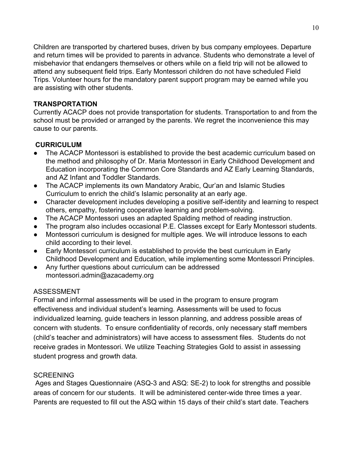Children are transported by chartered buses, driven by bus company employees. Departure and return times will be provided to parents in advance. Students who demonstrate a level of misbehavior that endangers themselves or others while on a field trip will not be allowed to attend any subsequent field trips. Early Montessori children do not have scheduled Field Trips. Volunteer hours for the mandatory parent support program may be earned while you are assisting with other students.

#### <span id="page-9-0"></span>**TRANSPORTATION**

Currently ACACP does not provide transportation for students. Transportation to and from the school must be provided or arranged by the parents. We regret the inconvenience this may cause to our parents.

## <span id="page-9-1"></span> **CURRICULUM**

- The ACACP Montessori is established to provide the best academic curriculum based on the method and philosophy of Dr. Maria Montessori in Early Childhood Development and Education incorporating the Common Core Standards and AZ Early Learning Standards, and AZ Infant and Toddler Standards.
- The ACACP implements its own Mandatory Arabic, Qur'an and Islamic Studies Curriculum to enrich the child's Islamic personality at an early age.
- Character development includes developing a positive self-identity and learning to respect others, empathy, fostering cooperative learning and problem-solving.
- The ACACP Montessori uses an adapted Spalding method of reading instruction.
- The program also includes occasional P.E. Classes except for Early Montessori students.
- Montessori curriculum is designed for multiple ages. We will introduce lessons to each child according to their level.
- Early Montessori curriculum is established to provide the best curriculum in Early Childhood Development and Education, while implementing some Montessori Principles.
- Any further questions about curriculum can be addressed montessori.admin@azacademy.org

## <span id="page-9-2"></span>ASSESSMENT

Formal and informal assessments will be used in the program to ensure program effectiveness and individual student's learning. Assessments will be used to focus individualized learning, guide teachers in lesson planning, and address possible areas of concern with students. To ensure confidentiality of records, only necessary staff members (child's teacher and administrators) will have access to assessment files. Students do not receive grades in Montessori. We utilize Teaching Strategies Gold to assist in assessing student progress and growth data.

## <span id="page-9-3"></span>**SCREENING**

 Ages and Stages Questionnaire (ASQ-3 and ASQ: SE-2) to look for strengths and possible areas of concern for our students. It will be administered center-wide three times a year. Parents are requested to fill out the ASQ within 15 days of their child's start date. Teachers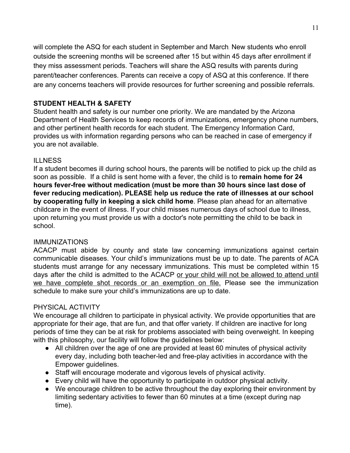will complete the ASQ for each student in September and March. New students who enroll outside the screening months will be screened after 15 but within 45 days after enrollment if they miss assessment periods. Teachers will share the ASQ results with parents during parent/teacher conferences. Parents can receive a copy of ASQ at this conference. If there are any concerns teachers will provide resources for further screening and possible referrals.

#### <span id="page-10-0"></span>**STUDENT HEALTH & SAFETY**

Student health and safety is our number one priority. We are mandated by the Arizona Department of Health Services to keep records of immunizations, emergency phone numbers, and other pertinent health records for each student. The Emergency Information Card, provides us with information regarding persons who can be reached in case of emergency if you are not available.

## <span id="page-10-1"></span>**ILLNESS**

If a student becomes ill during school hours, the parents will be notified to pick up the child as soon as possible. If a child is sent home with a fever, the child is to **remain home for 24 hours fever-free without medication (must be more than 30 hours since last dose of fever reducing medication). PLEASE help us reduce the rate of illnesses at our school by cooperating fully in keeping a sick child home**. Please plan ahead for an alternative childcare in the event of illness. If your child misses numerous days of school due to illness, upon returning you must provide us with a doctor's note permitting the child to be back in school.

## <span id="page-10-2"></span>**IMMUNIZATIONS**

ACACP must abide by county and state law concerning immunizations against certain communicable diseases. Your child's immunizations must be up to date. The parents of ACA students must arrange for any necessary immunizations. This must be completed within 15 days after the child is admitted to the ACACP or your child will not be allowed to attend until we have complete shot records or an exemption on file. Please see the immunization schedule to make sure your child's immunizations are up to date.

## <span id="page-10-3"></span>PHYSICAL ACTIVITY

We encourage all children to participate in physical activity. We provide opportunities that are appropriate for their age, that are fun, and that offer variety. If children are inactive for long periods of time they can be at risk for problems associated with being overweight. In keeping with this philosophy, our facility will follow the guidelines below:

- All children over the age of one are provided at least 60 minutes of physical activity every day, including both teacher-led and free-play activities in accordance with the Empower guidelines.
- Staff will encourage moderate and vigorous levels of physical activity.
- Every child will have the opportunity to participate in outdoor physical activity.
- We encourage children to be active throughout the day exploring their environment by limiting sedentary activities to fewer than 60 minutes at a time (except during nap time).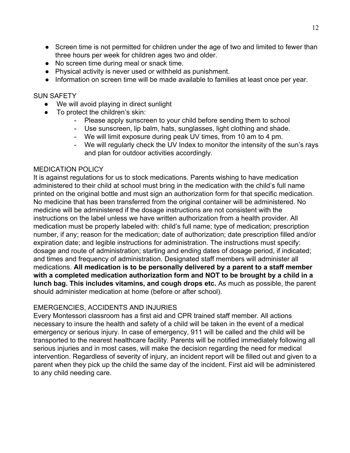- Screen time is not permitted for children under the age of two and limited to fewer than three hours per week for children ages two and older.
- No screen time during meal or snack time.
- Physical activity is never used or withheld as punishment.
- Information on screen time will be made available to families at least once per year.

#### <span id="page-11-0"></span>SUN SAFETY

- We will avoid playing in direct sunlight
- To protect the children's skin:
	- Please apply sunscreen to your child before sending them to school
	- Use sunscreen, lip balm, hats, sunglasses, light clothing and shade.
	- We will limit exposure during peak UV times, from 10 am to 4 pm.
	- We will regularly check the UV Index to monitor the intensity of the sun's rays and plan for outdoor activities accordingly.

## <span id="page-11-1"></span>MEDICATION POLICY

It is against regulations for us to stock medications. Parents wishing to have medication administered to their child at school must bring in the medication with the child's full name printed on the original bottle and must sign an authorization form for that specific medication. No medicine that has been transferred from the original container will be administered. No medicine will be administered if the dosage instructions are not consistent with the instructions on the label unless we have written authorization from a health provider. All medication must be properly labeled with: child's full name; type of medication; prescription number, if any; reason for the medication; date of authorization; date prescription filled and/or expiration date; and legible instructions for administration. The instructions must specify: dosage and route of administration; starting and ending dates of dosage period, if indicated; and times and frequency of administration. Designated staff members will administer all medications. **All medication is to be personally delivered by a parent to a staff member with a completed medication authorization form and NOT to be brought by a child in a lunch bag. This includes vitamins, and cough drops etc.** As much as possible, the parent should administer medication at home (before or after school).

## <span id="page-11-2"></span>EMERGENCIES, ACCIDENTS AND INJURIES

Every Montessori classroom has a first aid and CPR trained staff member. All actions necessary to insure the health and safety of a child will be taken in the event of a medical emergency or serious injury. In case of emergency, 911 will be called and the child will be transported to the nearest healthcare facility. Parents will be notified immediately following all serious injuries and in most cases, will make the decision regarding the need for medical intervention. Regardless of severity of injury, an incident report will be filled out and given to a parent when they pick up the child the same day of the incident. First aid will be administered to any child needing care.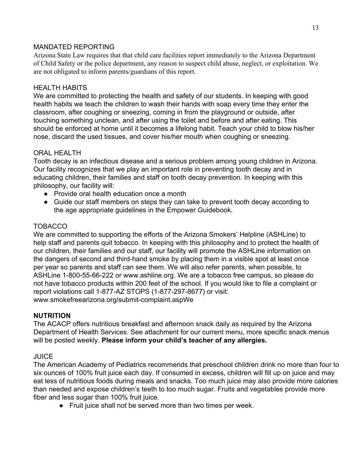## <span id="page-12-0"></span>MANDATED REPORTING

Arizona State Law requires that that child care facilities report immediately to the Arizona Department of Child Safety or the police department, any reason to suspect child abuse, neglect, or exploitation. We are not obligated to inform parents/guardians of this report.

## <span id="page-12-1"></span>HEALTH HABITS

We are committed to protecting the health and safety of our students. In keeping with good health habits we teach the children to wash their hands with soap every time they enter the classroom, after coughing or sneezing, coming in from the playground or outside, after touching something unclean, and after using the toilet and before and after eating. This should be enforced at home until it becomes a lifelong habit. Teach your child to blow his/her nose, discard the used tissues, and cover his/her mouth when coughing or sneezing.

# <span id="page-12-2"></span>ORAL HEALTH

Tooth decay is an infectious disease and a serious problem among young children in Arizona. Our facility recognizes that we play an important role in preventing tooth decay and in educating children, their families and staff on tooth decay prevention. In keeping with this philosophy, our facility will:

- Provide oral health education once a month
- Guide our staff members on steps they can take to prevent tooth decay according to the age appropriate guidelines in the Empower Guidebook.

## <span id="page-12-3"></span>TOBACCO

We are committed to supporting the efforts of the Arizona Smokers' Helpline (ASHLine) to help staff and parents quit tobacco. In keeping with this philosophy and to protect the health of our children, their families and our staff, our facility will promote the ASHLine information on the dangers of second and third-hand smoke by placing them in a visible spot at least once per year so parents and staff can see them. We will also refer parents, when possible, to ASHLine 1-800-55-66-222 or www.ashline.org. We are a tobacco free campus, so please do not have tobacco products within 200 feet of the school. If you would like to file a complaint or report violations call 1-877-AZ STOPS (1-877-297-8677) or visit: www.smokefreearizona.org/submit-complaint.aspWe

## <span id="page-12-4"></span>**NUTRITION**

The ACACP offers nutritious breakfast and afternoon snack daily as required by the Arizona Department of Health Services. See attachment for our current menu, more specific snack menus will be posted weekly. **Please inform your child's teacher of any allergies.**

# <span id="page-12-5"></span>JUICE

The American Academy of Pediatrics recommends that preschool children drink no more than four to six ounces of 100% fruit juice each day. If consumed in excess, children will fill up on juice and may eat less of nutritious foods during meals and snacks. Too much juice may also provide more calories than needed and expose children's teeth to too much sugar. Fruits and vegetables provide more fiber and less sugar than 100% fruit juice.

● Fruit juice shall not be served more than two times per week.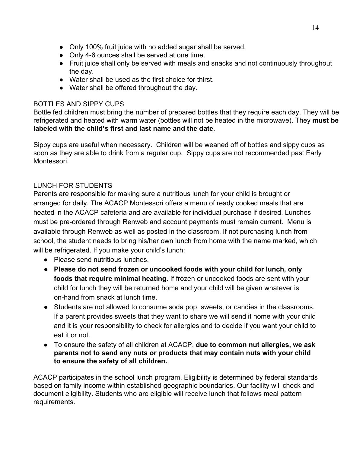- Only 100% fruit juice with no added sugar shall be served.
- Only 4-6 ounces shall be served at one time.
- Fruit juice shall only be served with meals and snacks and not continuously throughout the day.
- Water shall be used as the first choice for thirst.
- Water shall be offered throughout the day.

## <span id="page-13-0"></span>BOTTLES AND SIPPY CUPS

Bottle fed children must bring the number of prepared bottles that they require each day. They will be refrigerated and heated with warm water (bottles will not be heated in the microwave). They **must be labeled with the child's first and last name and the date**.

Sippy cups are useful when necessary. Children will be weaned off of bottles and sippy cups as soon as they are able to drink from a regular cup. Sippy cups are not recommended past Early Montessori.

# <span id="page-13-1"></span>LUNCH FOR STUDENTS

Parents are responsible for making sure a nutritious lunch for your child is brought or arranged for daily. The ACACP Montessori offers a menu of ready cooked meals that are heated in the ACACP cafeteria and are available for individual purchase if desired. Lunches must be pre-ordered through Renweb and account payments must remain current. Menu is available through Renweb as well as posted in the classroom. If not purchasing lunch from school, the student needs to bring his/her own lunch from home with the name marked, which will be refrigerated. If you make your child's lunch:

- Please send nutritious lunches.
- **Please do not send frozen or uncooked foods with your child for lunch, only foods that require minimal heating.** If frozen or uncooked foods are sent with your child for lunch they will be returned home and your child will be given whatever is on-hand from snack at lunch time.
- Students are not allowed to consume soda pop, sweets, or candies in the classrooms. If a parent provides sweets that they want to share we will send it home with your child and it is your responsibility to check for allergies and to decide if you want your child to eat it or not.
- To ensure the safety of all children at ACACP, **due to common nut allergies, we ask parents not to send any nuts or products that may contain nuts with your child to ensure the safety of all children.**

ACACP participates in the school lunch program. Eligibility is determined by federal standards based on family income within established geographic boundaries. Our facility will check and document eligibility. Students who are eligible will receive lunch that follows meal pattern requirements.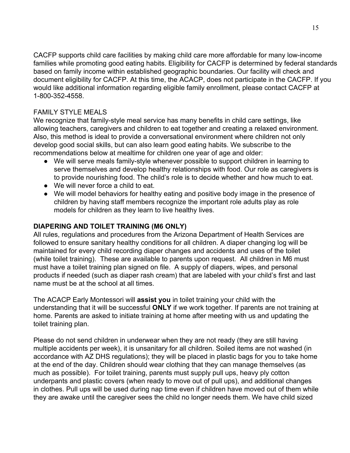CACFP supports child care facilities by making child care more affordable for many low-income families while promoting good eating habits. Eligibility for CACFP is determined by federal standards based on family income within established geographic boundaries. Our facility will check and document eligibility for CACFP. At this time, the ACACP, does not participate in the CACFP. If you would like additional information regarding eligible family enrollment, please contact CACFP at 1-800-352-4558.

#### <span id="page-14-0"></span>FAMILY STYLE MEALS

We recognize that family-style meal service has many benefits in child care settings, like allowing teachers, caregivers and children to eat together and creating a relaxed environment. Also, this method is ideal to provide a conversational environment where children not only develop good social skills, but can also learn good eating habits. We subscribe to the recommendations below at mealtime for children one year of age and older:

- We will serve meals family-style whenever possible to support children in learning to serve themselves and develop healthy relationships with food. Our role as caregivers is to provide nourishing food. The child's role is to decide whether and how much to eat.
- We will never force a child to eat.
- We will model behaviors for healthy eating and positive body image in the presence of children by having staff members recognize the important role adults play as role models for children as they learn to live healthy lives.

#### <span id="page-14-1"></span>**DIAPERING AND TOILET TRAINING (M6 ONLY)**

All rules, regulations and procedures from the Arizona Department of Health Services are followed to ensure sanitary healthy conditions for all children. A diaper changing log will be maintained for every child recording diaper changes and accidents and uses of the toilet (while toilet training). These are available to parents upon request. All children in M6 must must have a toilet training plan signed on file. A supply of diapers, wipes, and personal products if needed (such as diaper rash cream) that are labeled with your child's first and last name must be at the school at all times.

The ACACP Early Montessori will **assist you** in toilet training your child with the understanding that it will be successful **ONLY** if we work together. If parents are not training at home. Parents are asked to initiate training at home after meeting with us and updating the toilet training plan.

Please do not send children in underwear when they are not ready (they are still having multiple accidents per week), it is unsanitary for all children. Soiled items are not washed (in accordance with AZ DHS regulations); they will be placed in plastic bags for you to take home at the end of the day. Children should wear clothing that they can manage themselves (as much as possible). For toilet training, parents must supply pull ups, heavy ply cotton underpants and plastic covers (when ready to move out of pull ups), and additional changes in clothes. Pull ups will be used during nap time even if children have moved out of them while they are awake until the caregiver sees the child no longer needs them. We have child sized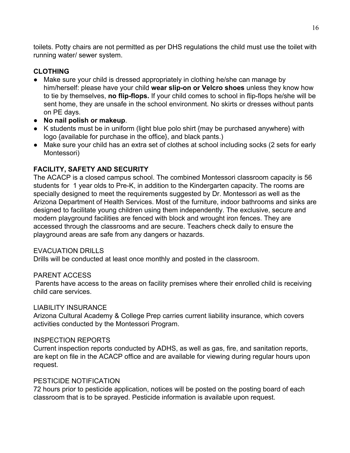toilets. Potty chairs are not permitted as per DHS regulations the child must use the toilet with running water/ sewer system.

#### <span id="page-15-0"></span>**CLOTHING**

- Make sure your child is dressed appropriately in clothing he/she can manage by him/herself: please have your child **wear slip-on or Velcro shoes** unless they know how to tie by themselves, **no flip-flops.** If your child comes to school in flip-flops he/she will be sent home, they are unsafe in the school environment. No skirts or dresses without pants on PE days.
- **No nail polish or makeup**.
- K students must be in uniform (light blue polo shirt {may be purchased anywhere} with logo {available for purchase in the office}, and black pants.)
- Make sure your child has an extra set of clothes at school including socks (2 sets for early Montessori)

## <span id="page-15-1"></span>**FACILITY, SAFETY AND SECURITY**

The ACACP is a closed campus school. The combined Montessori classroom capacity is 56 students for 1 year olds to Pre-K, in addition to the Kindergarten capacity. The rooms are specially designed to meet the requirements suggested by Dr. Montessori as well as the Arizona Department of Health Services. Most of the furniture, indoor bathrooms and sinks are designed to facilitate young children using them independently. The exclusive, secure and modern playground facilities are fenced with block and wrought iron fences. They are accessed through the classrooms and are secure. Teachers check daily to ensure the playground areas are safe from any dangers or hazards.

#### <span id="page-15-2"></span>EVACUATION DRILLS

Drills will be conducted at least once monthly and posted in the classroom.

#### <span id="page-15-3"></span>PARENT ACCESS

 Parents have access to the areas on facility premises where their enrolled child is receiving child care services.

#### <span id="page-15-4"></span>LIABILITY INSURANCE

Arizona Cultural Academy & College Prep carries current liability insurance, which covers activities conducted by the Montessori Program.

#### <span id="page-15-5"></span>INSPECTION REPORTS

Current inspection reports conducted by ADHS, as well as gas, fire, and sanitation reports, are kept on file in the ACACP office and are available for viewing during regular hours upon request.

#### <span id="page-15-6"></span>PESTICIDE NOTIFICATION

72 hours prior to pesticide application, notices will be posted on the posting board of each classroom that is to be sprayed. Pesticide information is available upon request.